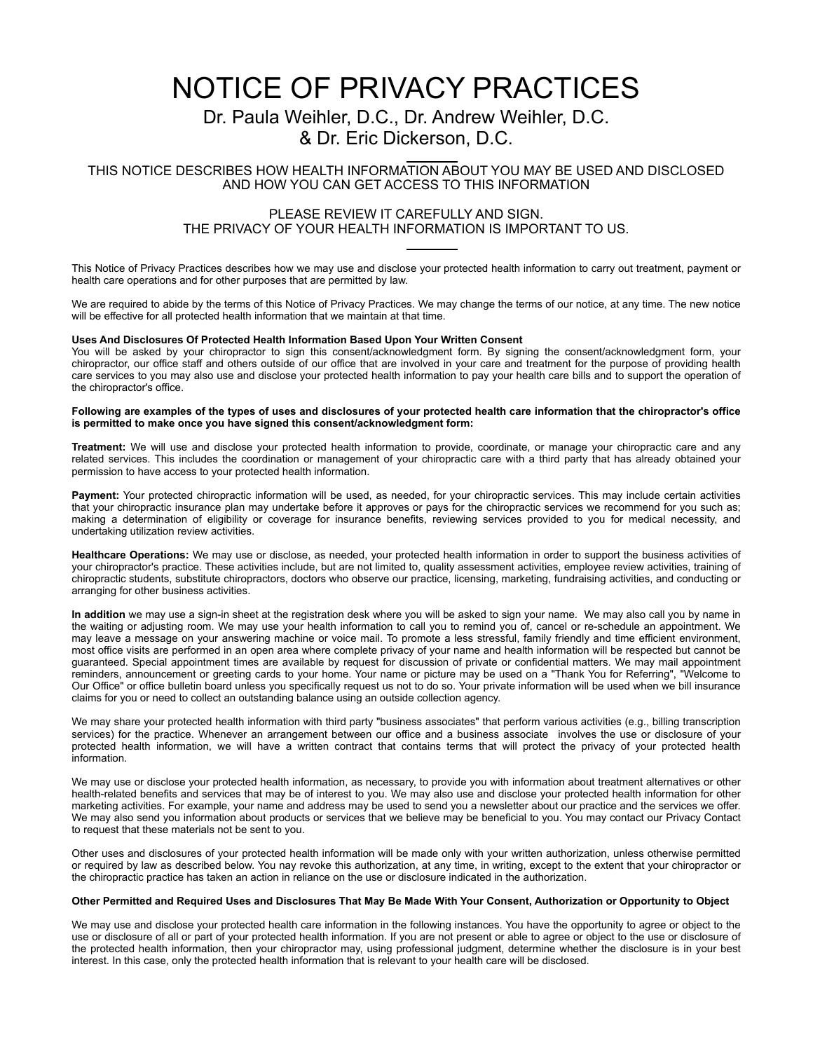# NOTICE OF PRIVACY PRACTICES

# Dr. Paula Weihler, D.C., Dr. Andrew Weihler, D.C. & Dr. Eric Dickerson, D.C.

### THIS NOTICE DESCRIBES HOW HEALTH INFORMATION ABOUT YOU MAY BE USED AND DISCLOSED AND HOW YOU CAN GET ACCESS TO THIS INFORMATION

### PLEASE REVIEW IT CAREFULLY AND SIGN. THE PRIVACY OF YOUR HEALTH INFORMATION IS IMPORTANT TO US.  $\overline{a}$

This Notice of Privacy Practices describes how we may use and disclose your protected health information to carry out treatment, payment or health care operations and for other purposes that are permitted by law.

We are required to abide by the terms of this Notice of Privacy Practices. We may change the terms of our notice, at any time. The new notice will be effective for all protected health information that we maintain at that time.

#### **Uses And Disclosures Of Protected Health Information Based Upon Your Written Consent**

You will be asked by your chiropractor to sign this consent/acknowledgment form. By signing the consent/acknowledgment form, your chiropractor, our office staff and others outside of our office that are involved in your care and treatment for the purpose of providing health care services to you may also use and disclose your protected health information to pay your health care bills and to support the operation of the chiropractor's office.

#### **Following are examples of the types of uses and disclosures of your protected health care information that the chiropractor's office is permitted to make once you have signed this consent/acknowledgment form:**

**Treatment:** We will use and disclose your protected health information to provide, coordinate, or manage your chiropractic care and any related services. This includes the coordination or management of your chiropractic care with a third party that has already obtained your permission to have access to your protected health information.

Payment: Your protected chiropractic information will be used, as needed, for your chiropractic services. This may include certain activities that your chiropractic insurance plan may undertake before it approves or pays for the chiropractic services we recommend for you such as; making a determination of eligibility or coverage for insurance benefits, reviewing services provided to you for medical necessity, and undertaking utilization review activities.

**Healthcare Operations:** We may use or disclose, as needed, your protected health information in order to support the business activities of your chiropractor's practice. These activities include, but are not limited to, quality assessment activities, employee review activities, training of chiropractic students, substitute chiropractors, doctors who observe our practice, licensing, marketing, fundraising activities, and conducting or arranging for other business activities.

**In addition** we may use a sign-in sheet at the registration desk where you will be asked to sign your name. We may also call you by name in the waiting or adjusting room. We may use your health information to call you to remind you of, cancel or re-schedule an appointment. We may leave a message on your answering machine or voice mail. To promote a less stressful, family friendly and time efficient environment, most office visits are performed in an open area where complete privacy of your name and health information will be respected but cannot be guaranteed. Special appointment times are available by request for discussion of private or confidential matters. We may mail appointment reminders, announcement or greeting cards to your home. Your name or picture may be used on a "Thank You for Referring", "Welcome to Our Office" or office bulletin board unless you specifically request us not to do so. Your private information will be used when we bill insurance claims for you or need to collect an outstanding balance using an outside collection agency.

We may share your protected health information with third party "business associates" that perform various activities (e.g., billing transcription services) for the practice. Whenever an arrangement between our office and a business associate involves the use or disclosure of your protected health information, we will have a written contract that contains terms that will protect the privacy of your protected health information.

We may use or disclose your protected health information, as necessary, to provide you with information about treatment alternatives or other health-related benefits and services that may be of interest to you. We may also use and disclose your protected health information for other marketing activities. For example, your name and address may be used to send you a newsletter about our practice and the services we offer. We may also send you information about products or services that we believe may be beneficial to you. You may contact our Privacy Contact to request that these materials not be sent to you.

Other uses and disclosures of your protected health information will be made only with your written authorization, unless otherwise permitted or required by law as described below. You nay revoke this authorization, at any time, in writing, except to the extent that your chiropractor or the chiropractic practice has taken an action in reliance on the use or disclosure indicated in the authorization.

#### **Other Permitted and Required Uses and Disclosures That May Be Made With Your Consent, Authorization or Opportunity to Object**

We may use and disclose your protected health care information in the following instances. You have the opportunity to agree or object to the use or disclosure of all or part of your protected health information. If you are not present or able to agree or object to the use or disclosure of the protected health information, then your chiropractor may, using professional judgment, determine whether the disclosure is in your best interest. In this case, only the protected health information that is relevant to your health care will be disclosed.